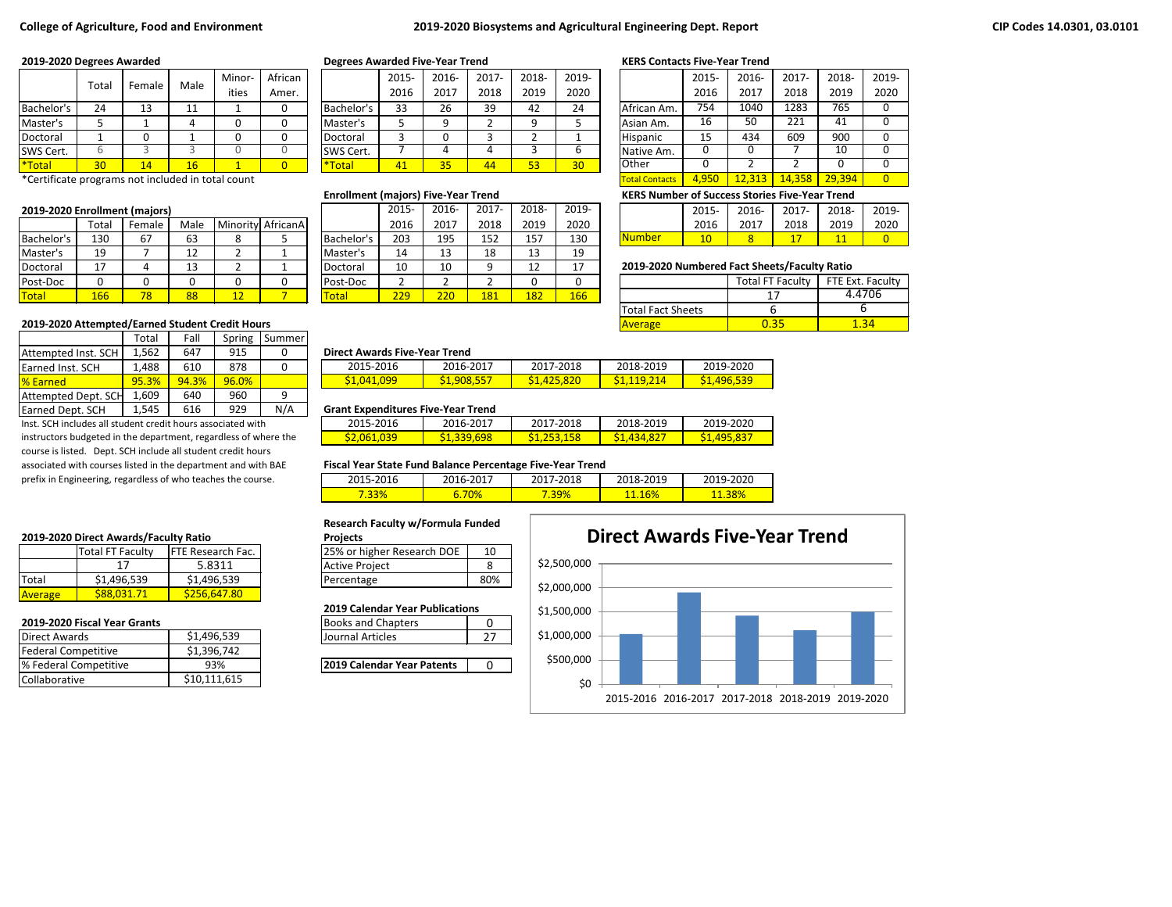### **College of Agriculture, Food and Environment 2019-2020 Biosystems and Agricultural Engineering Dept. Report**

|              | Total | Female | Male | Minor- | African |              | 2015-      | 2016- | 2017- | 2018-     | 2019- |                 | 2015- | 2016- | 2017- | 2018- | 201             |
|--------------|-------|--------|------|--------|---------|--------------|------------|-------|-------|-----------|-------|-----------------|-------|-------|-------|-------|-----------------|
|              |       |        |      | ities  | Amer.   |              | 2016       | 2017  | 2018  | 2019      | 2020  |                 | 2016  | 2017  | 2018  | 2019  | 20 <sub>i</sub> |
| Bachelor's   | 24    | ⊥⊃     | --   |        |         | Bachelor'    | 33         | 26    | 39    | 42        | 24    | African Am.     | 754   | 1040  | 1283  | 765   |                 |
| Master's     |       |        |      |        |         | Master's     |            |       |       |           |       | Asian Am.       | 16    | ⊏∩    | 221   | -41   |                 |
| Doctoral     |       |        |      |        |         | Doctoral     |            |       |       |           |       | <b>Hispanic</b> | ᅩ     | 434   | 609   | 900   |                 |
| SWS Cert.    |       |        |      |        |         | SWS Cert.    |            |       |       |           |       | Native Am.      |       |       |       | 10    |                 |
| <b>Total</b> | 30    | 14     | 16   |        |         | <b>Total</b> | <u>тн.</u> | 35    | 44    | rn.<br>53 | 30    | <b>Other</b>    |       |       |       |       |                 |

\*Certificate programs not included in total count

### **2019-2020 Enrollment (majors)**

|            | Total | Female | Male     |    | Minority AfricanA |            | 2016 | 2017    | 2018 | 2019     | 2020           |                                              | 2016 | 2017 | 2018                    | 2019          | 20 <sup>2</sup> |
|------------|-------|--------|----------|----|-------------------|------------|------|---------|------|----------|----------------|----------------------------------------------|------|------|-------------------------|---------------|-----------------|
| Bachelor's | 130   | 67     | 63       |    |                   | Bachelor's | 203  | 195     | 152  | 157      | 130            | <b>Number</b>                                |      |      |                         |               |                 |
| Master's   | 19    |        | 12<br>∸∸ |    |                   | Master's   | 14   | 12<br>∸ | 18   | 12<br>ᅩ  | 19             |                                              |      |      |                         |               |                 |
| Doctoral   | 17    |        | 10<br>ᅩ  |    |                   | Doctoral   | 10   | 10      |      | 1つ<br>∸∸ | $\overline{ }$ | 2019-2020 Numbered Fact Sheets/Faculty Ratio |      |      |                         |               |                 |
| Post-Doc   |       |        |          |    |                   | Post-Doc   |      |         |      |          | $\sqrt{2}$     |                                              |      |      | <b>Total FT Faculty</b> | FTE Ext. Facu |                 |
| Total      | 166   |        | 88       | LΖ |                   | Total      | 229  | 220     | 181  | 182      | 166            |                                              |      |      |                         |               | 4.4706          |

### 2019-2020 Attempted/Earned Student Credit Hours

|                     | Total | Fall  | Spring | Summer |
|---------------------|-------|-------|--------|--------|
| Attempted Inst. SCH | 1,562 | 647   | 915    |        |
| Earned Inst. SCH    | 1,488 | 610   | 878    | 0      |
| <b>% Earned</b>     | 95.3% | 94.3% | 96.0%  |        |
| Attempted Dept. SCH | 1,609 | 640   | 960    | g      |
| Earned Dept. SCH    | 1,545 | 616   | 929    | N/A    |

Inst. SCH includes all student credit hours associated with instructors budgeted in the department, regardless of where the course is listed. Dept. SCH include all student credit hours associated with courses listed in the department and with BAE prefix in Engineering, regardless of who teaches the course.

### **2019-2020 Direct Awards/Faculty Ratio**

|               | Total FT Faculty | <b>IFTE Research Fac.</b> | 25% or higher Research DOE | 10  |
|---------------|------------------|---------------------------|----------------------------|-----|
|               |                  | 5.8311                    | Active Project             |     |
| <b>ITotal</b> | \$1,496,539      | \$1,496,539               | Percentage                 | 80% |
| Average       | S88.031.71       | \$256,647.80              |                            |     |

### **2019-2020 Fiscal Year Grants**

|                       |              | --------------                    | $\overline{\phantom{a}}$ |
|-----------------------|--------------|-----------------------------------|--------------------------|
| Direct Awards         | \$1,496,539  | Journal Articles                  |                          |
| Federal Competitive   | \$1,396,742  |                                   |                          |
| % Federal Competitive | 93%          | <b>2019 Calendar Year Patents</b> |                          |
| <b>Collaborative</b>  | \$10,111,615 |                                   |                          |

### **2019-2020 Degrees Awarded Degrees Awarded Five-Year Trend KERS Contacts Five-Year Trend**

|            | 2015- | 2016- | 2017- | 2018- | 2019- |
|------------|-------|-------|-------|-------|-------|
|            | 2016  | 2017  | 2018  | 2019  | 2020  |
| Bachelor's | 33    | 26    | 39    | 42    | 24    |
| Master's   |       |       |       |       |       |
| Doctoral   | 3     |       |       |       |       |
| SWS Cert.  |       |       |       | 3     |       |
| *Total     |       | 35    |       | 53    | 30    |

|              | 2015-         | 2016- | $2017 -$ | 2018- | 2019- |
|--------------|---------------|-------|----------|-------|-------|
|              | 2016          | 2017  | 2018     | 2019  | 2020  |
| Bachelor's   | 203           | 195   | 152      | 157   | 130   |
| Master's     | 14            | 13    | 18       | 13    | 19    |
| Doctoral     | 10            | 10    | g        | 12    | 17    |
| Post-Doc     | $\mathcal{P}$ | 2     | 2        |       |       |
| <b>Total</b> | 229           | 220   | 181      | 182   | 166   |

|                       | 2015- | 2016-          | 2017-  | 2018-  | 2019- |
|-----------------------|-------|----------------|--------|--------|-------|
|                       | 2016  | 2017           | 2018   | 2019   | 2020  |
| African Am.           | 754   | 1040           | 1283   | 765    |       |
| Asian Am.             | 16    | 50             | 221    | 41     |       |
| Hispanic              | 15    | 434            | 609    | 900    |       |
| Native Am.            | 0     | 0              |        | 10     |       |
| <b>Other</b>          | 0     | $\mathfrak{p}$ | 2      |        |       |
| <b>Total Contacts</b> | 4.950 | 12.313         | 14.358 | 29.394 |       |

**Enrollment (majors) Five-Year Trend KERS Number of Success Stories Five-Year Trend**

|       | rollment (majors) |          |                   |             | 201F<br>∠ບ⊥ບ | 2016-     | 2017      | 2018-        | 2019-      |            | 2015- | 2016- | 2017 | 2018- | 2019 |
|-------|-------------------|----------|-------------------|-------------|--------------|-----------|-----------|--------------|------------|------------|-------|-------|------|-------|------|
| Total | Female            | Male     | Minority AfricanA |             | 2016         | 2017      | 2018      | 2019         | 2020       |            | 2016  | 2017  | 2018 | 2019  | 2020 |
| 130   | --                | --<br>כס |                   | "IBachelor' | 203          | 195<br>∸~ | 15つ<br>∸∽ | $15^-$<br>ᅩJ | 120<br>TON | ibe<br>vun |       |       |      | --    |      |

### Doctoral 17 4 13 2 1 Doctoral 10 10 9 12 17 **2019-2020 Numbered Fact Sheets/Faculty Ratio**

|                          | <b>Total FT Faculty</b> | FTE Ext. Faculty |
|--------------------------|-------------------------|------------------|
|                          |                         | 4.4706           |
| <b>Total Fact Sheets</b> |                         |                  |
| <b>Average</b>           |                         |                  |

### 1,562 647 915 0 **Direct Awards Five-Year Trend**

| 2015-2016   | 2016-2017   | 2017-2018   | 2018-2019       | 2019-2020   |
|-------------|-------------|-------------|-----------------|-------------|
| \$1,041,099 | \$1,908,557 | \$1,425,820 | <u>81.119.2</u> | \$1,496,539 |

### 1,545 616 929 N/A **Grant Expenditures Five-Year Trend**

| 2015-2016   | 2016-2017   | 2017-2018              | 2018-2019  | 2019-2020   |
|-------------|-------------|------------------------|------------|-------------|
| \$2,061,039 | \$1,339,698 | <mark>1.253.158</mark> | S1.434.827 | \$1,495,837 |

### **Fiscal Year State Fund Balance Percentage Five-Year Trend**

| 2015-2016 | 2016-2017     | 2017-2018        | 2018-2019 | 2019-2020 |
|-----------|---------------|------------------|-----------|-----------|
| 7.33%     | $'0\%$<br>,,, | $^{\prime}$ .39% | 11.16%    | .38%      |

### **Research Faculty w/Formula Funded**

| Projects |  |
|----------|--|
|----------|--|

| 25% or higher Research DOE |  |
|----------------------------|--|
| <b>Active Project</b>      |  |
| Percentage                 |  |

### **2019 Calendar Year Publications**

| <b>Books and Chapters</b> |  |
|---------------------------|--|
| Journal Articles          |  |